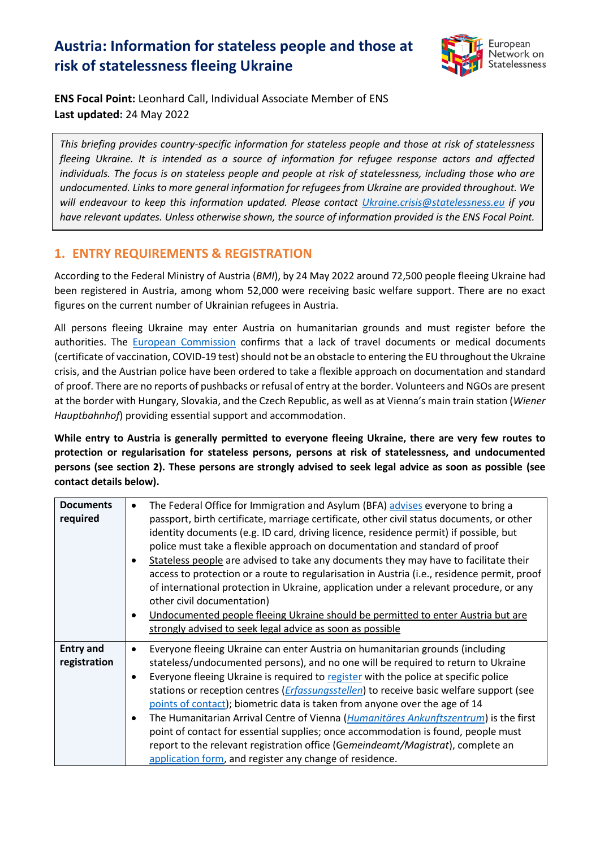# **Austria: Information for stateless people and those at risk of statelessness fleeing Ukraine**



**ENS Focal Point:** Leonhard Call, Individual Associate Member of ENS **Last updated:** 24 May 2022

*This briefing provides country-specific information for stateless people and those at risk of statelessness fleeing Ukraine. It is intended as a source of information for refugee response actors and affected individuals. The focus is on stateless people and people at risk of statelessness, including those who are undocumented. Links to more general information for refugees from Ukraine are provided throughout. We will endeavour to keep this information updated. Please contact [Ukraine.crisis@statelessness.eu](mailto:Ukraine.crisis@statelessness.eu) if you have relevant updates. Unless otherwise shown, the source of information provided is the ENS Focal Point.*

## **1. ENTRY REQUIREMENTS & REGISTRATION**

According to the Federal Ministry of Austria (*BMI*), by 24 May 2022 around 72,500 people fleeing Ukraine had been registered in Austria, among whom 52,000 were receiving basic welfare support. There are no exact figures on the current number of Ukrainian refugees in Austria.

All persons fleeing Ukraine may enter Austria on humanitarian grounds and must register before the authorities. The **European Commission** confirms that a lack of travel documents or medical documents (certificate of vaccination, COVID-19 test) should not be an obstacle to entering the EU throughout the Ukraine crisis, and the Austrian police have been ordered to take a flexible approach on documentation and standard of proof. There are no reports of pushbacks or refusal of entry at the border. Volunteers and NGOs are present at the border with Hungary, Slovakia, and the Czech Republic, as well as at Vienna's main train station (*Wiener Hauptbahnhof*) providing essential support and accommodation.

**While entry to Austria is generally permitted to everyone fleeing Ukraine, there are very few routes to protection or regularisation for stateless persons, persons at risk of statelessness, and undocumented persons (see section 2). These persons are strongly advised to seek legal advice as soon as possible (see contact details below).**

| <b>Documents</b><br>required     | The Federal Office for Immigration and Asylum (BFA) advises everyone to bring a<br>passport, birth certificate, marriage certificate, other civil status documents, or other<br>identity documents (e.g. ID card, driving licence, residence permit) if possible, but<br>police must take a flexible approach on documentation and standard of proof<br>Stateless people are advised to take any documents they may have to facilitate their<br>access to protection or a route to regularisation in Austria (i.e., residence permit, proof<br>of international protection in Ukraine, application under a relevant procedure, or any<br>other civil documentation)<br>Undocumented people fleeing Ukraine should be permitted to enter Austria but are<br>strongly advised to seek legal advice as soon as possible |
|----------------------------------|----------------------------------------------------------------------------------------------------------------------------------------------------------------------------------------------------------------------------------------------------------------------------------------------------------------------------------------------------------------------------------------------------------------------------------------------------------------------------------------------------------------------------------------------------------------------------------------------------------------------------------------------------------------------------------------------------------------------------------------------------------------------------------------------------------------------|
| <b>Entry and</b><br>registration | Everyone fleeing Ukraine can enter Austria on humanitarian grounds (including<br>$\bullet$<br>stateless/undocumented persons), and no one will be required to return to Ukraine<br>Everyone fleeing Ukraine is required to register with the police at specific police<br>$\bullet$<br>stations or reception centres ( <i>Erfassungsstellen</i> ) to receive basic welfare support (see<br>points of contact); biometric data is taken from anyone over the age of 14<br>The Humanitarian Arrival Centre of Vienna ( <i>Humanitäres Ankunftszentrum</i> ) is the first<br>point of contact for essential supplies; once accommodation is found, people must<br>report to the relevant registration office (Gemeindeamt/Magistrat), complete an<br>application form, and register any change of residence.            |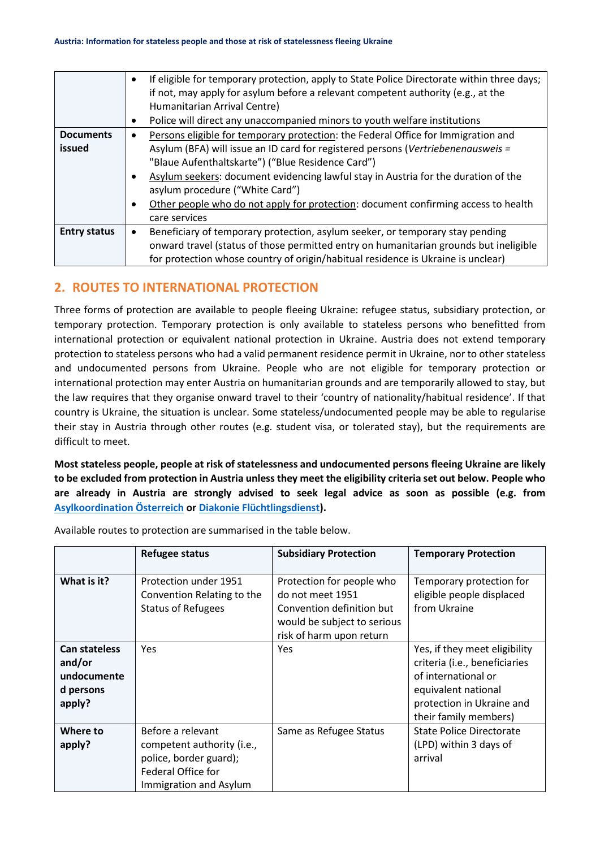|                            | If eligible for temporary protection, apply to State Police Directorate within three days;<br>$\bullet$<br>if not, may apply for asylum before a relevant competent authority (e.g., at the<br>Humanitarian Arrival Centre)<br>Police will direct any unaccompanied minors to youth welfare institutions<br>$\bullet$                                                                                                                                                                |
|----------------------------|--------------------------------------------------------------------------------------------------------------------------------------------------------------------------------------------------------------------------------------------------------------------------------------------------------------------------------------------------------------------------------------------------------------------------------------------------------------------------------------|
| <b>Documents</b><br>issued | Persons eligible for temporary protection: the Federal Office for Immigration and<br>$\bullet$<br>Asylum (BFA) will issue an ID card for registered persons (Vertriebenenausweis =<br>"Blaue Aufenthaltskarte") ("Blue Residence Card")<br>Asylum seekers: document evidencing lawful stay in Austria for the duration of the<br>asylum procedure ("White Card")<br>Other people who do not apply for protection: document confirming access to health<br>$\bullet$<br>care services |
| <b>Entry status</b>        | Beneficiary of temporary protection, asylum seeker, or temporary stay pending<br>onward travel (status of those permitted entry on humanitarian grounds but ineligible<br>for protection whose country of origin/habitual residence is Ukraine is unclear)                                                                                                                                                                                                                           |

#### **2. ROUTES TO INTERNATIONAL PROTECTION**

Three forms of protection are available to people fleeing Ukraine: refugee status, subsidiary protection, or temporary protection. Temporary protection is only available to stateless persons who benefitted from international protection or equivalent national protection in Ukraine. Austria does not extend temporary protection to stateless persons who had a valid permanent residence permit in Ukraine, nor to other stateless and undocumented persons from Ukraine. People who are not eligible for temporary protection or international protection may enter Austria on humanitarian grounds and are temporarily allowed to stay, but the law requires that they organise onward travel to their 'country of nationality/habitual residence'. If that country is Ukraine, the situation is unclear. Some stateless/undocumented people may be able to regularise their stay in Austria through other routes (e.g. student visa, or tolerated stay), but the requirements are difficult to meet.

**Most stateless people, people at risk of statelessness and undocumented persons fleeing Ukraine are likely to be excluded from protection in Austria unless they meet the eligibility criteria set out below. People who are already in Austria are strongly advised to seek legal advice as soon as possible (e.g. from [Asylkoordination Österreich](https://www.asyl.at/de/info/news/informatsiyaprovtechuzukrayiny/) or [Diakonie Flüchtlingsdienst\)](https://www.diakonie.at/unsere-themen/flucht-und-integration/hilfe-fuer-ukraine-fluechtlinge-in-oesterreich).** 

|                                                                      | <b>Refugee status</b>                                                                                                     | <b>Subsidiary Protection</b>                                                                                                          | <b>Temporary Protection</b>                                                                                                                                        |
|----------------------------------------------------------------------|---------------------------------------------------------------------------------------------------------------------------|---------------------------------------------------------------------------------------------------------------------------------------|--------------------------------------------------------------------------------------------------------------------------------------------------------------------|
| What is it?                                                          | Protection under 1951<br>Convention Relating to the<br><b>Status of Refugees</b>                                          | Protection for people who<br>do not meet 1951<br>Convention definition but<br>would be subject to serious<br>risk of harm upon return | Temporary protection for<br>eligible people displaced<br>from Ukraine                                                                                              |
| <b>Can stateless</b><br>and/or<br>undocumente<br>d persons<br>apply? | <b>Yes</b>                                                                                                                | <b>Yes</b>                                                                                                                            | Yes, if they meet eligibility<br>criteria (i.e., beneficiaries<br>of international or<br>equivalent national<br>protection in Ukraine and<br>their family members) |
| Where to<br>apply?                                                   | Before a relevant<br>competent authority (i.e.,<br>police, border guard);<br>Federal Office for<br>Immigration and Asylum | Same as Refugee Status                                                                                                                | State Police Directorate<br>(LPD) within 3 days of<br>arrival                                                                                                      |

Available routes to protection are summarised in the table below.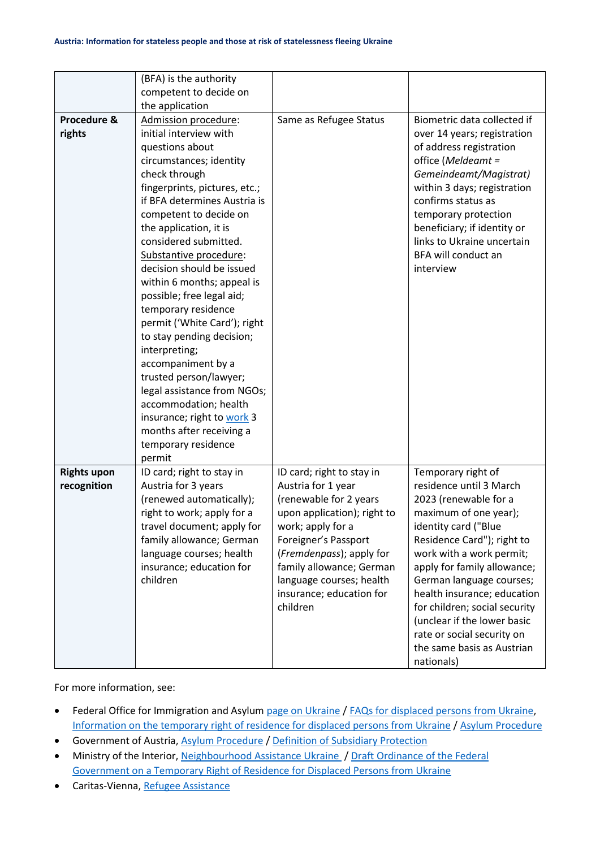|                    | (BFA) is the authority        |                             |                               |
|--------------------|-------------------------------|-----------------------------|-------------------------------|
|                    | competent to decide on        |                             |                               |
|                    | the application               |                             |                               |
| Procedure &        | Admission procedure:          | Same as Refugee Status      | Biometric data collected if   |
| rights             | initial interview with        |                             | over 14 years; registration   |
|                    | questions about               |                             | of address registration       |
|                    | circumstances; identity       |                             | office (Meldeamt =            |
|                    | check through                 |                             | Gemeindeamt/Magistrat)        |
|                    | fingerprints, pictures, etc.; |                             | within 3 days; registration   |
|                    | if BFA determines Austria is  |                             | confirms status as            |
|                    | competent to decide on        |                             | temporary protection          |
|                    | the application, it is        |                             | beneficiary; if identity or   |
|                    | considered submitted.         |                             | links to Ukraine uncertain    |
|                    | Substantive procedure:        |                             | BFA will conduct an           |
|                    | decision should be issued     |                             | interview                     |
|                    | within 6 months; appeal is    |                             |                               |
|                    | possible; free legal aid;     |                             |                               |
|                    | temporary residence           |                             |                               |
|                    | permit ('White Card'); right  |                             |                               |
|                    | to stay pending decision;     |                             |                               |
|                    | interpreting;                 |                             |                               |
|                    | accompaniment by a            |                             |                               |
|                    | trusted person/lawyer;        |                             |                               |
|                    | legal assistance from NGOs;   |                             |                               |
|                    | accommodation; health         |                             |                               |
|                    |                               |                             |                               |
|                    | insurance; right to work 3    |                             |                               |
|                    | months after receiving a      |                             |                               |
|                    | temporary residence           |                             |                               |
|                    | permit                        |                             |                               |
| <b>Rights upon</b> | ID card; right to stay in     | ID card; right to stay in   | Temporary right of            |
| recognition        | Austria for 3 years           | Austria for 1 year          | residence until 3 March       |
|                    | (renewed automatically);      | (renewable for 2 years      | 2023 (renewable for a         |
|                    | right to work; apply for a    | upon application); right to | maximum of one year);         |
|                    | travel document; apply for    | work; apply for a           | identity card ("Blue          |
|                    | family allowance; German      | Foreigner's Passport        | Residence Card"); right to    |
|                    | language courses; health      | (Fremdenpass); apply for    | work with a work permit;      |
|                    | insurance; education for      | family allowance; German    | apply for family allowance;   |
|                    | children                      | language courses; health    | German language courses;      |
|                    |                               | insurance; education for    | health insurance; education   |
|                    |                               | children                    | for children; social security |
|                    |                               |                             | (unclear if the lower basic   |
|                    |                               |                             | rate or social security on    |
|                    |                               |                             | the same basis as Austrian    |
|                    |                               |                             | nationals)                    |

For more information, see:

- Federal Office for Immigration and Asylum [page on Ukraine](https://www.bfa.gv.at/401/start.aspx#ukraine) / [FAQs for displaced persons from Ukraine,](https://www.bfa.gv.at/news.aspx?id=455643766D7646497145673D) [Information on the temporary right of residence for displaced persons from Ukraine](https://www.bfa.gv.at/news.aspx?id=6D346344574568386A70303D) / [Asylum Procedure](https://www.bfa.gv.at/201/Ablauf_Asylverfahren/start.aspx)
- Government of Austria[, Asylum Procedure](https://www.oesterreich.gv.at/en/themen/leben_in_oesterreich/asyl/Seite.3210002.html) / [Definition of Subsidiary Protection](https://www.oesterreich.gv.at/lexicon/S/Seite.990027.html)
- Ministry of the Interior[, Neighbourhood Assistance Ukraine](http://www.asyl.at/files/576/vortragandenministerratnachbarschaftshilfeukrainehumanitareunterstutzungfurvertriebene.pdf) / Draft Ordinance of the Federal [Government on a Temporary Right of Residence for Displaced Persons from Ukraine](http://www.asyl.at/files/576/vortragandenministerratentwurfeinerverordnungderbundesregierung.pdf)
- Caritas-Vienna[, Refugee Assistance](https://www.caritas.at/spenden-helfen/spenden/fluechtlingshilfe)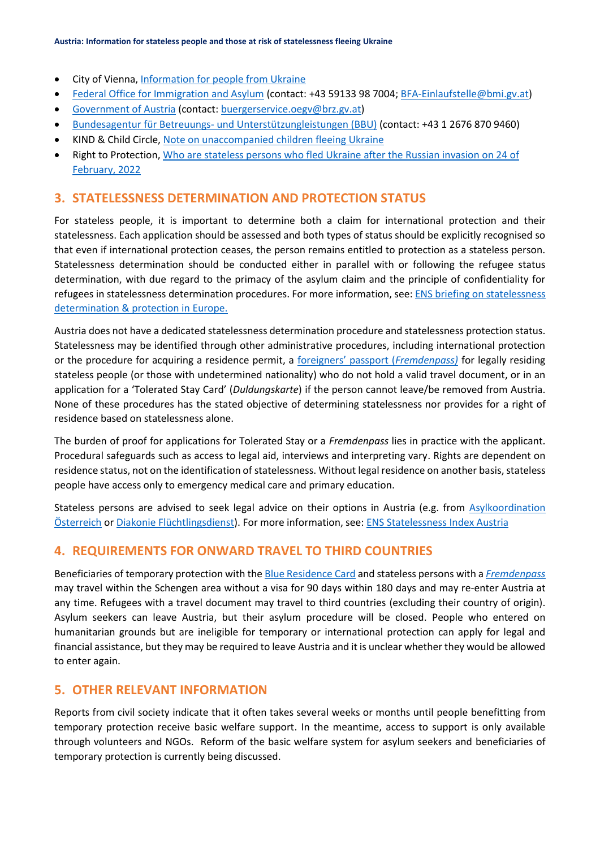- City of Vienna[, Information for people from Ukraine](https://start.wien.gv.at/ukraine)
- [Federal Office for Immigration and Asylum](https://www.bfa.gv.at/) (contact: +43 59133 98 7004[; BFA-Einlaufstelle@bmi.gv.at\)](mailto:BFA-Einlaufstelle@bmi.gv.at)
- [Government of Austria](https://www.oesterreich.gv.at/en/public.html) (contact: [buergerservice.oegv@brz.gv.at\)](mailto:buergerservice.oegv@brz.gv.at)
- Bundesagentur für Betreuungs- [und Unterstützungleistungen \(BBU\)](https://www.bbu.gv.at/ukraine) (contact: +43 1 2676 870 9460)
- KIND & Child Circle, [Note on unaccompanied children fleeing Ukraine](https://supportkind.org/wp-content/uploads/2022/03/Note-on-Unaccompanied-Children-Fleeing-from-Ukraine_Updated.pdf)
- Right to Protection, [Who are stateless persons who fled Ukraine after the Russian invasion on 24 of](https://r2p.org.ua/stateless-persons-fled-ukraine-after-2022/?lang=en)  [February, 2022](https://r2p.org.ua/stateless-persons-fled-ukraine-after-2022/?lang=en)

#### **3. STATELESSNESS DETERMINATION AND PROTECTION STATUS**

For stateless people, it is important to determine both a claim for international protection and their statelessness. Each application should be assessed and both types of status should be explicitly recognised so that even if international protection ceases, the person remains entitled to protection as a stateless person. Statelessness determination should be conducted either in parallel with or following the refugee status determination, with due regard to the primacy of the asylum claim and the principle of confidentiality for refugees in statelessness determination procedures. For more information, see: [ENS briefing on statelessness](https://index.statelessness.eu/sites/default/files/ENS-Statelessness_determination_and_protection_in_Europe-Sep_2021.pdf)  [determination & protection in Europe.](https://index.statelessness.eu/sites/default/files/ENS-Statelessness_determination_and_protection_in_Europe-Sep_2021.pdf)

Austria does not have a dedicated statelessness determination procedure and statelessness protection status. Statelessness may be identified through other administrative procedures, including international protection or the procedure for acquiring a residence permit, a [foreigners' passport \(](https://www.bfa.gv.at/401/files/02_Fremden_und_Konventionsreisepass/Informationsblatt_Fremdenpass_englisch_BF_20201005.pdf)*Fremdenpass)* for legally residing stateless people (or those with undetermined nationality) who do not hold a valid travel document, or in an application for a 'Tolerated Stay Card' (*Duldungskarte*) if the person cannot leave/be removed from Austria. None of these procedures has the stated objective of determining statelessness nor provides for a right of residence based on statelessness alone.

The burden of proof for applications for Tolerated Stay or a *Fremdenpass* lies in practice with the applicant. Procedural safeguards such as access to legal aid, interviews and interpreting vary. Rights are dependent on residence status, not on the identification of statelessness. Without legal residence on another basis, stateless people have access only to emergency medical care and primary education.

Stateless persons are advised to seek legal advice on their options in Austria (e.g. from [Asylkoordination](https://www.asyl.at/de/info/news/informatsiyaprovtechuzukrayiny/)  [Österreich](https://www.asyl.at/de/info/news/informatsiyaprovtechuzukrayiny/) o[r Diakonie Flüchtlingsdienst\)](https://www.diakonie.at/unsere-themen/flucht-und-integration/hilfe-fuer-ukraine-fluechtlinge-in-oesterreich). For more information, see[: ENS Statelessness Index Austria](https://index.statelessness.eu/country/austria)

## **4. REQUIREMENTS FOR ONWARD TRAVEL TO THIRD COUNTRIES**

Beneficiaries of temporary protection with th[e Blue Residence Card](https://start.wien.gv.at/ukraine) and stateless persons with a *[Fremdenpass](https://www.bfa.gv.at/401/files/02_Fremden_und_Konventionsreisepass/Informationsblatt_Fremdenpass_englisch_BF_20201005.pdf)* may travel within the Schengen area without a visa for 90 days within 180 days and may re-enter Austria at any time. Refugees with a travel document may travel to third countries (excluding their country of origin). Asylum seekers can leave Austria, but their asylum procedure will be closed. People who entered on humanitarian grounds but are ineligible for temporary or international protection can apply for legal and financial assistance, but they may be required to leave Austria and it is unclear whether they would be allowed to enter again.

#### **5. OTHER RELEVANT INFORMATION**

Reports from civil society indicate that it often takes several weeks or months until people benefitting from temporary protection receive basic welfare support. In the meantime, access to support is only available through volunteers and NGOs. Reform of the basic welfare system for asylum seekers and beneficiaries of temporary protection is currently being discussed.